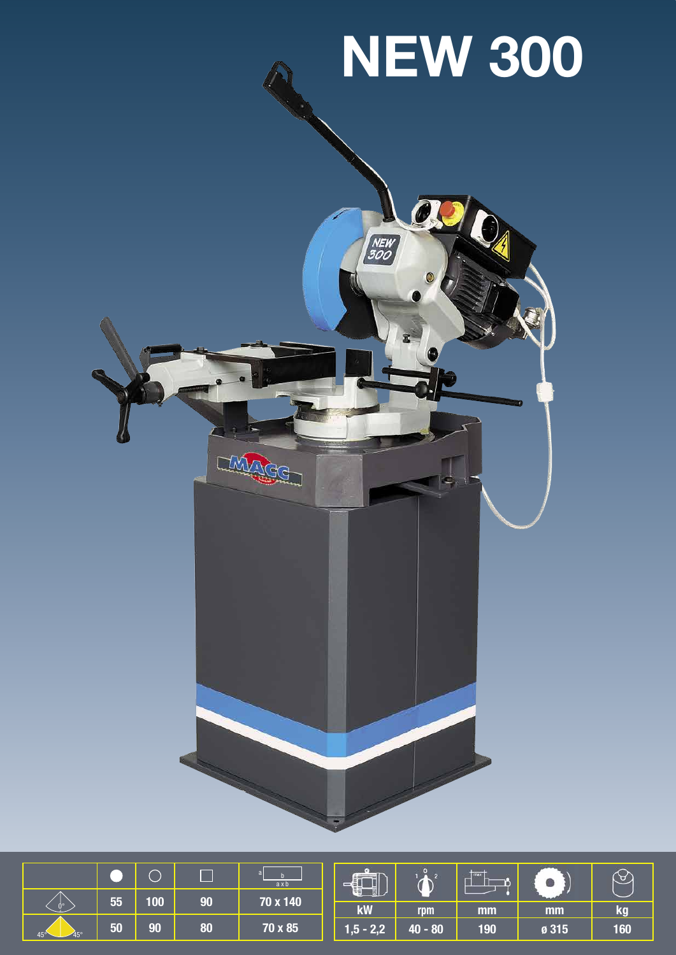# **NEW 300**

ag

NEW<br>300

O

|                            |    |     | Г  | ax <sub>b</sub> | $\equiv$<br>ŧ            |           | max |       |     |
|----------------------------|----|-----|----|-----------------|--------------------------|-----------|-----|-------|-----|
|                            | 55 | 100 | 90 | 70 x 140        |                          |           |     |       |     |
| n٠                         |    |     |    |                 | kW                       | rpm       | mm  | mm    | kg  |
| $45^\circ$<br>$45^{\circ}$ | 50 | 90  | 80 | 70 x 85         | $1,5$ - 2,2 $^{\dagger}$ | $40 - 80$ | 190 | ø 315 | 160 |

LINAGE